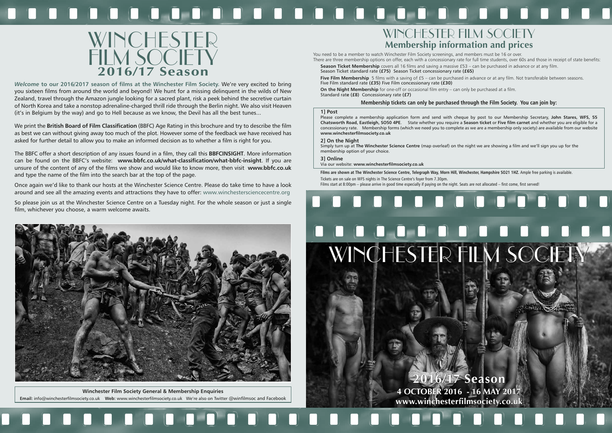# WINCHESTER FILM SOCIETY **Membership information and prices**



**www.winchesterfilmsociety.co.uk**

*Welcome* **to our 2016/2017 season of films at the Winchester Film Society.** We're very excited to bring you sixteen films from around the world and beyond! We hunt for a missing delinquent in the wilds of New Zealand, travel through the Amazon jungle looking for a sacred plant, risk a peek behind the secretive curtain of North Korea and take a nonstop adrenaline-charged thrill ride through the Berlin night. We also visit Heaven (it's in Belgium by the way) and go to Hell because as we know, the Devil has all the best tunes...

We print the **British Board of Film Classification** (BBFC) Age Rating in this brochure and try to describe the film as best we can without giving away too much of the plot. However some of the feedback we have received has asked for further detail to allow you to make an informed decision as to whether a film is right for you.

The BBFC offer a short description of any issues found in a film, they call this **BBFCINSIGHT**. More information can be found on the BBFC's website: **www.bbfc.co.uk/what-classification/what-bbfc-insight**. If you are unsure of the content of any of the films we show and would like to know more, then visit **www.bbfc.co.uk** and type the name of the film into the search bar at the top of the page.

**Five Film Membership** 5 films with a saving of £5 – can be purchased in advance or at any film. Not transferable between seasons. Five Film standard rate **(£35)** Five Film concessionary rate **(£30)**

**On the Night Membership** for one-off or occasional film entry – can only be purchased at a film. Standard rat**e (£8)** Concessionary rate **(£7)**

Once again we'd like to thank our hosts at the Winchester Science Centre. Please do take time to have a look around and see all the amazing events and attractions they have to offer: www.winchestersciencecentre.org

So please join us at the Winchester Science Centre on a Tuesday night. For the whole season or just a single film, whichever you choose, a warm welcome awaits.

# 000000000000 **DDD**</u> **DOOO**



You need to be a member to watch Winchester Film Society screenings, and members must be 16 or over. There are three membership options on offer, each with a concessionary rate for full time students, over 60s and those in receipt of state benefits: **Season Ticket Membership** covers all 16 films and saving a massive £53 – can be purchased in advance or at any film.

Season Ticket standard rate **(£75)** Season Ticket concessionary rate **(£65)**

# **Membership tickets can only be purchased through the Film Society. You can join by:**

# **1] Post**

Please complete a membership application form and send with cheque by post to our Membership Secretary, **John Stares, WFS, 55 Chatsworth Road, Eastleigh, SO50 4PE**. State whether you require a **Season ticket** or **Five film carnet** and whether you are eligible for a concessionary rate. Membership forms (which we need you to complete as we are a membership only society) are available from our website **www.winchesterfilmsociety.co.uk**

# **2] On the Night**

Simply turn up at **The Winchester Science Centre** (map overleaf) on the night we are showing a film and we'll sign you up for the membership option of your choice.

**3] Online**

Via our website: **www.winchesterfilmsociety.co.uk**

Films are shown at The Winchester Science Centre, Telegraph Way, Morn Hill, Winchester, Hampshire SO21 1HZ. Ample free parking is available.

Tickets are on sale on WFS nights in The Science Centre's foyer from 7.30pm. Films start at 8:00pm – please arrive in good time especially if paying on the night. Seats are not allocated – first come, first served!



**Winchester Film Society General & Membership Enquiries Email:** info@winchesterfilmsociety.co.uk **Web:** www.winchesterfilmsociety.co.uk We're also on Twitter @winfilmsoc and Facebook